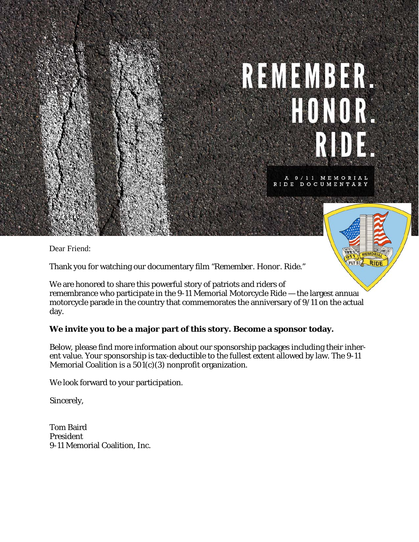# REMEMBER. HONOR. RIDE.

A 9/11 MEMORIAL<br>RIDE DOCUMENTARY

FLT 93 RIDE

Dear Friend:

Thank you for watching our documentary film *"Remember. Honor. Ride."*

We are honored to share this powerful story of patriots and riders of remembrance who participate in the 9-11 Memorial Motorcycle Ride — the largest annual motorcycle parade in the country that commemorates the anniversary of 9/11 on the actual day.

#### **We invite you to be a major part of this story. Become a sponsor today.**

Below, please find more information about our sponsorship packages including their inherent value. Your sponsorship is tax-deductible to the fullest extent allowed by law. The 9-11 Memorial Coalition is a  $501(c)(3)$  nonprofit organization.

We look forward to your participation.

Sincerely,

Tom Baird President 9-11 Memorial Coalition, Inc.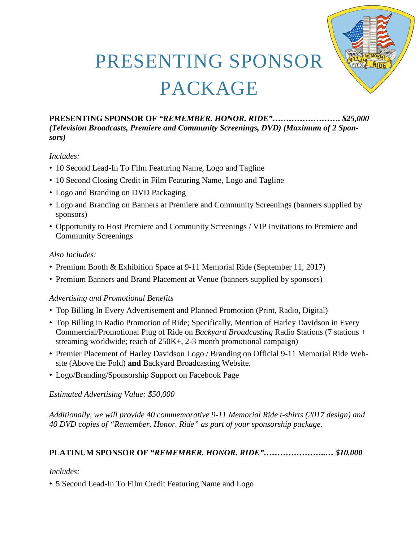

### PRESENTING SPONSOR PACKAGE

**PRESENTING SPONSOR OF** *"REMEMBER. HONOR. RIDE"……………………. \$25,000 (Television Broadcasts, Premiere and Community Screenings, DVD) (Maximum of 2 Sponsors)*

#### *Includes:*

- 10 Second Lead-In To Film Featuring Name, Logo and Tagline
- 10 Second Closing Credit in Film Featuring Name, Logo and Tagline
- Logo and Branding on DVD Packaging
- Logo and Branding on Banners at Premiere and Community Screenings (banners supplied by sponsors)
- Opportunity to Host Premiere and Community Screenings / VIP Invitations to Premiere and Community Screenings

#### *Also Includes:*

- Premium Booth & Exhibition Space at 9-11 Memorial Ride (September 11, 2017)
- Premium Banners and Brand Placement at Venue (banners supplied by sponsors)

#### *Advertising and Promotional Benefits*

- Top Billing In Every Advertisement and Planned Promotion (Print, Radio, Digital)
- Top Billing in Radio Promotion of Ride; Specifically, Mention of Harley Davidson in Every Commercial/Promotional Plug of Ride on *Backyard Broadcasting* Radio Stations (7 stations + streaming worldwide; reach of  $250K<sub>+</sub>$ , 2-3 month promotional campaign)
- Premier Placement of Harley Davidson Logo / Branding on Official 9-11 Memorial Ride Website (Above the Fold) **and** Backyard Broadcasting Website.
- Logo/Branding/Sponsorship Support on Facebook Page

*Estimated Advertising Value: \$50,000*

*Additionally, we will provide 40 commemorative 9-11 Memorial Ride t-shirts (2017 design) and 40 DVD copies of "Remember. Honor. Ride" as part of your sponsorship package.*

#### **PLATINUM SPONSOR OF** *"REMEMBER. HONOR. RIDE"…………………..… \$10,000*

#### *Includes:*

• 5 Second Lead-In To Film Credit Featuring Name and Logo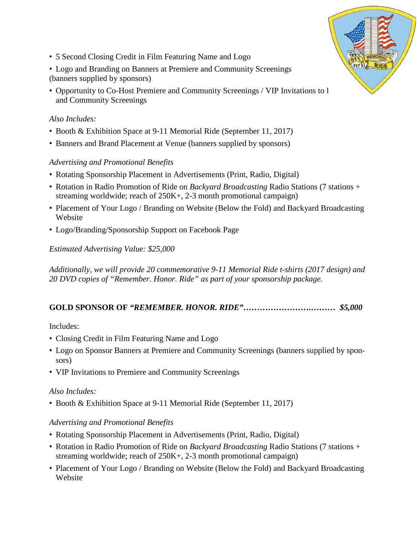- 5 Second Closing Credit in Film Featuring Name and Logo
- Logo and Branding on Banners at Premiere and Community Screenings (banners supplied by sponsors)
- Opportunity to Co-Host Premiere and Community Screenings / VIP Invitations to l and Community Screenings

#### *Also Includes:*

- Booth & Exhibition Space at 9-11 Memorial Ride (September 11, 2017)
- Banners and Brand Placement at Venue (banners supplied by sponsors)

#### *Advertising and Promotional Benefits*

- Rotating Sponsorship Placement in Advertisements (Print, Radio, Digital)
- Rotation in Radio Promotion of Ride on *Backyard Broadcasting* Radio Stations (7 stations + streaming worldwide; reach of 250K+, 2-3 month promotional campaign)
- Placement of Your Logo / Branding on Website (Below the Fold) and Backyard Broadcasting **Website**
- Logo/Branding/Sponsorship Support on Facebook Page

*Estimated Advertising Value: \$25,000*

*Additionally, we will provide 20 commemorative 9-11 Memorial Ride t-shirts (2017 design) and 20 DVD copies of "Remember. Honor. Ride" as part of your sponsorship package.*

#### **GOLD SPONSOR OF** *"REMEMBER. HONOR. RIDE"…………………….……… \$5,000*

#### Includes:

- Closing Credit in Film Featuring Name and Logo
- Logo on Sponsor Banners at Premiere and Community Screenings (banners supplied by sponsors)
- VIP Invitations to Premiere and Community Screenings

#### *Also Includes:*

• Booth & Exhibition Space at 9-11 Memorial Ride (September 11, 2017)

#### *Advertising and Promotional Benefits*

- Rotating Sponsorship Placement in Advertisements (Print, Radio, Digital)
- Rotation in Radio Promotion of Ride on *Backyard Broadcasting* Radio Stations (7 stations + streaming worldwide; reach of 250K+, 2-3 month promotional campaign)
- Placement of Your Logo / Branding on Website (Below the Fold) and Backyard Broadcasting Website

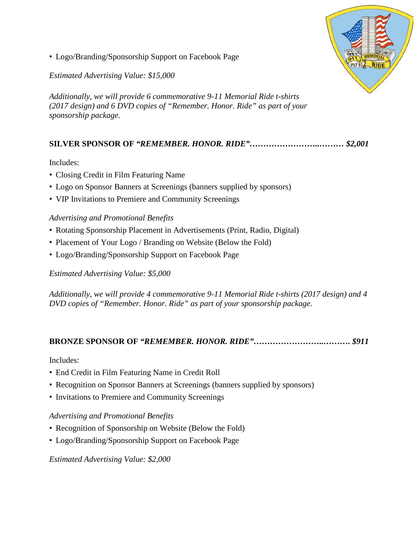

• Logo/Branding/Sponsorship Support on Facebook Page

*Estimated Advertising Value: \$15,000*

*Additionally, we will provide 6 commemorative 9-11 Memorial Ride t-shirts (2017 design) and 6 DVD copies of "Remember. Honor. Ride" as part of your sponsorship package.*

#### **SILVER SPONSOR OF** *"REMEMBER. HONOR. RIDE"……………………..……… \$2,001*

Includes:

- Closing Credit in Film Featuring Name
- Logo on Sponsor Banners at Screenings (banners supplied by sponsors)
- VIP Invitations to Premiere and Community Screenings

#### *Advertising and Promotional Benefits*

- Rotating Sponsorship Placement in Advertisements (Print, Radio, Digital)
- Placement of Your Logo / Branding on Website (Below the Fold)
- Logo/Branding/Sponsorship Support on Facebook Page

*Estimated Advertising Value: \$5,000*

*Additionally, we will provide 4 commemorative 9-11 Memorial Ride t-shirts (2017 design) and 4 DVD copies of "Remember. Honor. Ride" as part of your sponsorship package.*

#### **BRONZE SPONSOR OF** *"REMEMBER. HONOR. RIDE"……………………..………. \$911*

Includes:

- End Credit in Film Featuring Name in Credit Roll
- Recognition on Sponsor Banners at Screenings (banners supplied by sponsors)
- Invitations to Premiere and Community Screenings

#### *Advertising and Promotional Benefits*

- Recognition of Sponsorship on Website (Below the Fold)
- Logo/Branding/Sponsorship Support on Facebook Page

*Estimated Advertising Value: \$2,000*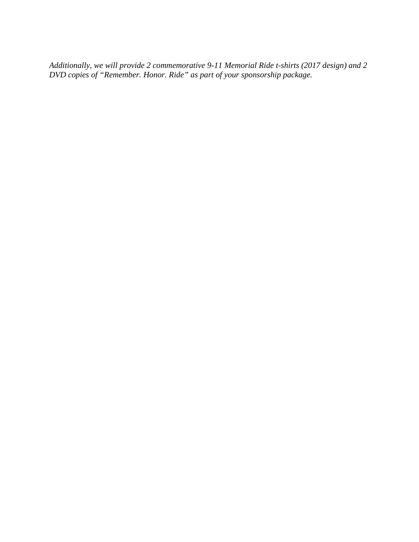*Additionally, we will provide 2 commemorative 9-11 Memorial Ride t-shirts (2017 design) and 2 DVD copies of "Remember. Honor. Ride" as part of your sponsorship package.*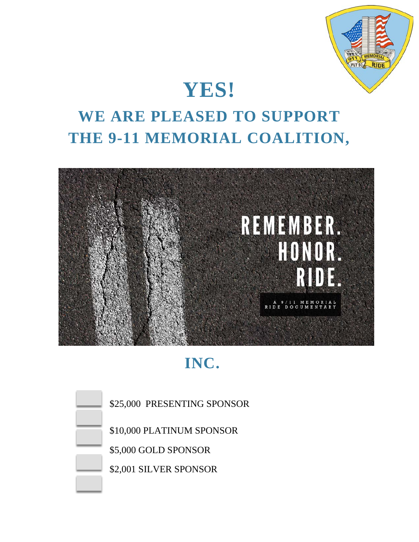

### **YES!**

### **WE ARE PLEASED TO SUPPORT THE 9-11 MEMORIAL COALITION,**



### **INC.**



\$25,000 PRESENTING SPONSOR

\$10,000 PLATINUM SPONSOR

\$5,000 GOLD SPONSOR

\$2,001 SILVER SPONSOR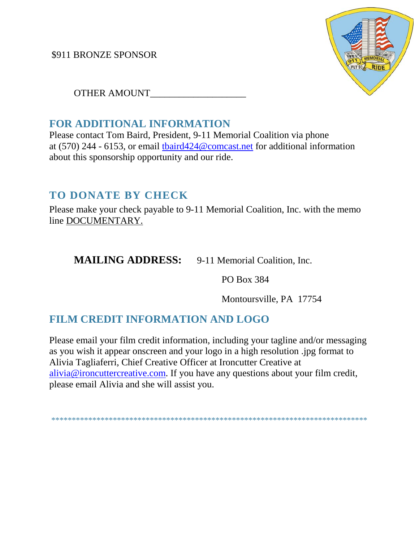\$911 BRONZE SPONSOR



OTHER AMOUNT\_\_\_\_\_\_\_\_\_\_\_\_\_\_\_\_\_\_\_\_

#### **FOR ADDITIONAL INFORMATION**

Please contact Tom Baird, President, 9-11 Memorial Coalition via phone at (570) 244 - 6153, or email [tbaird424@comcast.net](mailto:tbaird424@comcast.net) for additional information about this sponsorship opportunity and our ride.

#### **TO DONATE BY CHECK**

Please make your check payable to 9-11 Memorial Coalition, Inc. with the memo line DOCUMENTARY.

**MAILING ADDRESS:** 9-11 Memorial Coalition, Inc.

PO Box 384

Montoursville, PA 17754

#### **FILM CREDIT INFORMATION AND LOGO**

Please email your film credit information, including your tagline and/or messaging as you wish it appear onscreen and your logo in a high resolution .jpg format to Alivia Tagliaferri, Chief Creative Officer at Ironcutter Creative at [alivia@ironcuttercreative.com.](mailto:alivia@ironcuttercreative.com) If you have any questions about your film credit, please email Alivia and she will assist you.

\*\*\*\*\*\*\*\*\*\*\*\*\*\*\*\*\*\*\*\*\*\*\*\*\*\*\*\*\*\*\*\*\*\*\*\*\*\*\*\*\*\*\*\*\*\*\*\*\*\*\*\*\*\*\*\*\*\*\*\*\*\*\*\*\*\*\*\*\*\*\*\*\*\*\*\*\*